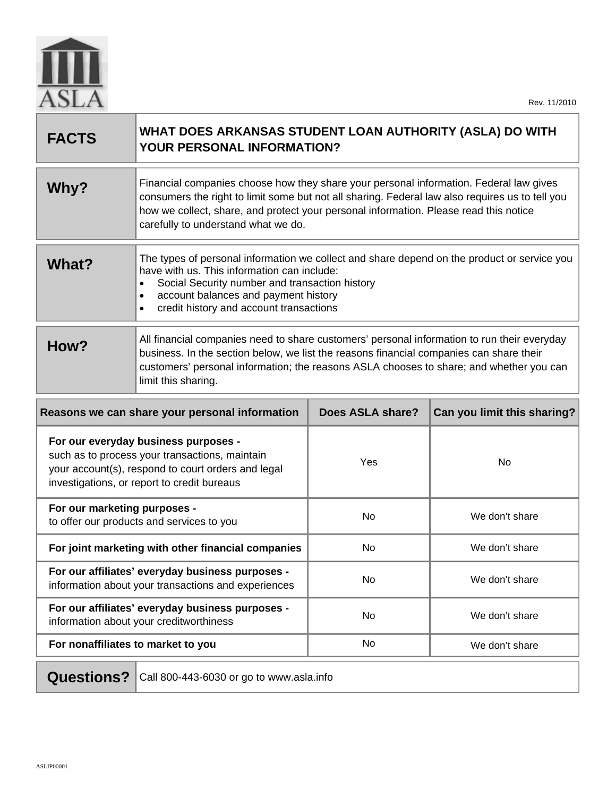

| <b>FACTS</b>                                   | WHAT DOES ARKANSAS STUDENT LOAN AUTHORITY (ASLA) DO WITH<br>YOUR PERSONAL INFORMATION?                                                                                                                                                                                                                                    |                  |                             |
|------------------------------------------------|---------------------------------------------------------------------------------------------------------------------------------------------------------------------------------------------------------------------------------------------------------------------------------------------------------------------------|------------------|-----------------------------|
| Why?                                           | Financial companies choose how they share your personal information. Federal law gives<br>consumers the right to limit some but not all sharing. Federal law also requires us to tell you<br>how we collect, share, and protect your personal information. Please read this notice<br>carefully to understand what we do. |                  |                             |
| What?                                          | The types of personal information we collect and share depend on the product or service you<br>have with us. This information can include:<br>Social Security number and transaction history<br>account balances and payment history<br>٠<br>credit history and account transactions<br>٠                                 |                  |                             |
| How?                                           | All financial companies need to share customers' personal information to run their everyday<br>business. In the section below, we list the reasons financial companies can share their<br>customers' personal information; the reasons ASLA chooses to share; and whether you can<br>limit this sharing.                  |                  |                             |
| Reasons we can share your personal information |                                                                                                                                                                                                                                                                                                                           |                  |                             |
|                                                |                                                                                                                                                                                                                                                                                                                           | Does ASLA share? | Can you limit this sharing? |
|                                                | For our everyday business purposes -<br>such as to process your transactions, maintain<br>your account(s), respond to court orders and legal<br>investigations, or report to credit bureaus                                                                                                                               | Yes              | No                          |
| For our marketing purposes -                   | to offer our products and services to you                                                                                                                                                                                                                                                                                 | No               | We don't share              |
|                                                | For joint marketing with other financial companies                                                                                                                                                                                                                                                                        | No               | We don't share              |
|                                                | For our affiliates' everyday business purposes<br>information about your transactions and experiences                                                                                                                                                                                                                     | No               | We don't share              |
|                                                | For our affiliates' everyday business purposes -<br>information about your creditworthiness                                                                                                                                                                                                                               | No               | We don't share              |
| For nonaffiliates to market to you             |                                                                                                                                                                                                                                                                                                                           | No               | We don't share              |

Questions? Call 800-443-6030 or go to www.asla.info